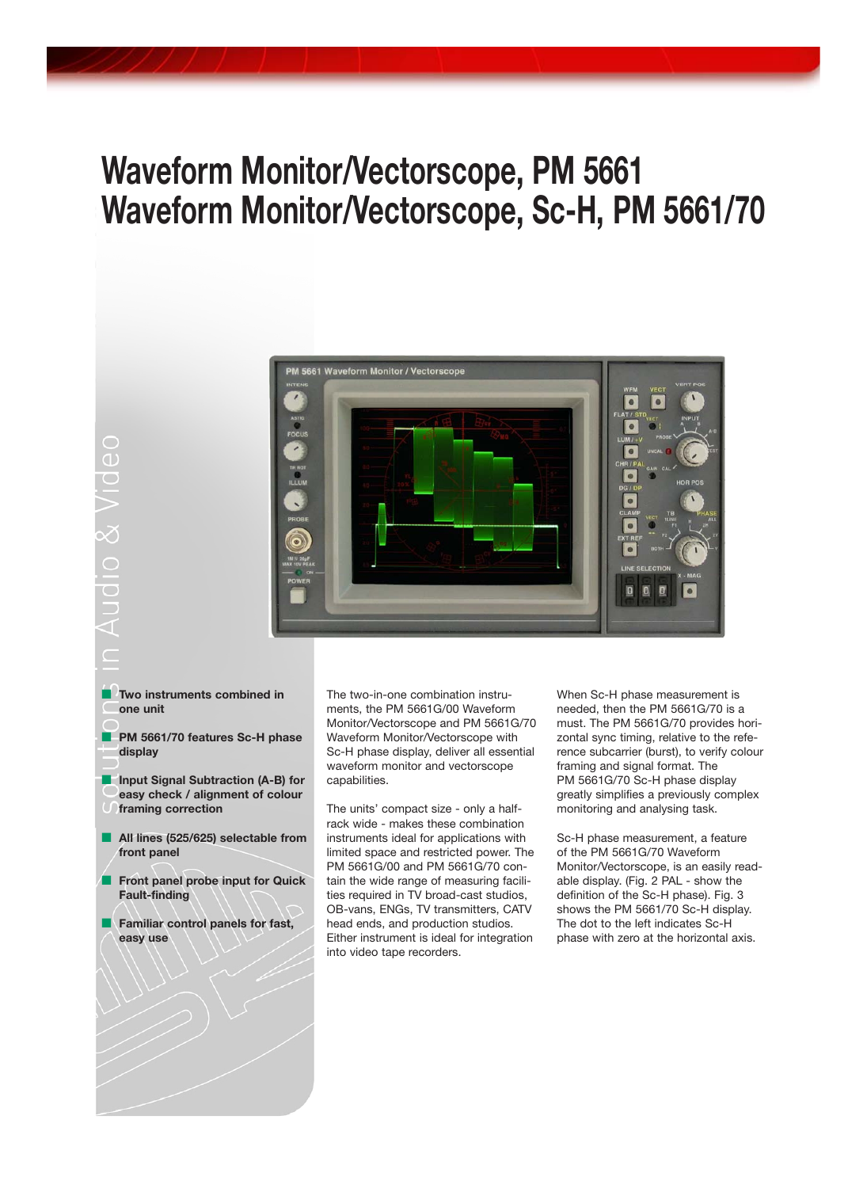# **Waveform Monitor/Vectorscope, PM 5661 Waveform Monitor/Vectorscope, Sc-H, PM 5661/70**



- **Two instruments combined in one unit**
- **PM 5661/70 features Sc-H phase display**
- **Input Signal Subtraction (A-B) for easy check / alignment of colour framing correction**
- All lines (525/625) selectable from **front panel**
- **Front panel probe input for Quick Fault-finding**
- **Familiar control panels for fast, easy use**

The two-in-one combination instruments, the PM 5661G/00 Waveform Monitor/Vectorscope and PM 5661G/70 Waveform Monitor/Vectorscope with Sc-H phase display, deliver all essential waveform monitor and vectorscope capabilities.

The units' compact size - only a halfrack wide - makes these combination instruments ideal for applications with limited space and restricted power. The PM 5661G/00 and PM 5661G/70 contain the wide range of measuring facilities required in TV broad-cast studios, OB-vans, ENGs, TV transmitters, CATV head ends, and production studios. Either instrument is ideal for integration into video tape recorders.

When Sc-H phase measurement is needed, then the PM 5661G/70 is a must. The PM 5661G/70 provides horizontal sync timing, relative to the reference subcarrier (burst), to verify colour framing and signal format. The PM 5661G/70 Sc-H phase display greatly simplifies a previously complex monitoring and analysing task.

Sc-H phase measurement, a feature of the PM 5661G/70 Waveform Monitor/Vectorscope, is an easily readable display. (Fig. 2 PAL - show the definition of the Sc-H phase). Fig. 3 shows the PM 5661/70 Sc-H display. The dot to the left indicates Sc-H phase with zero at the horizontal axis.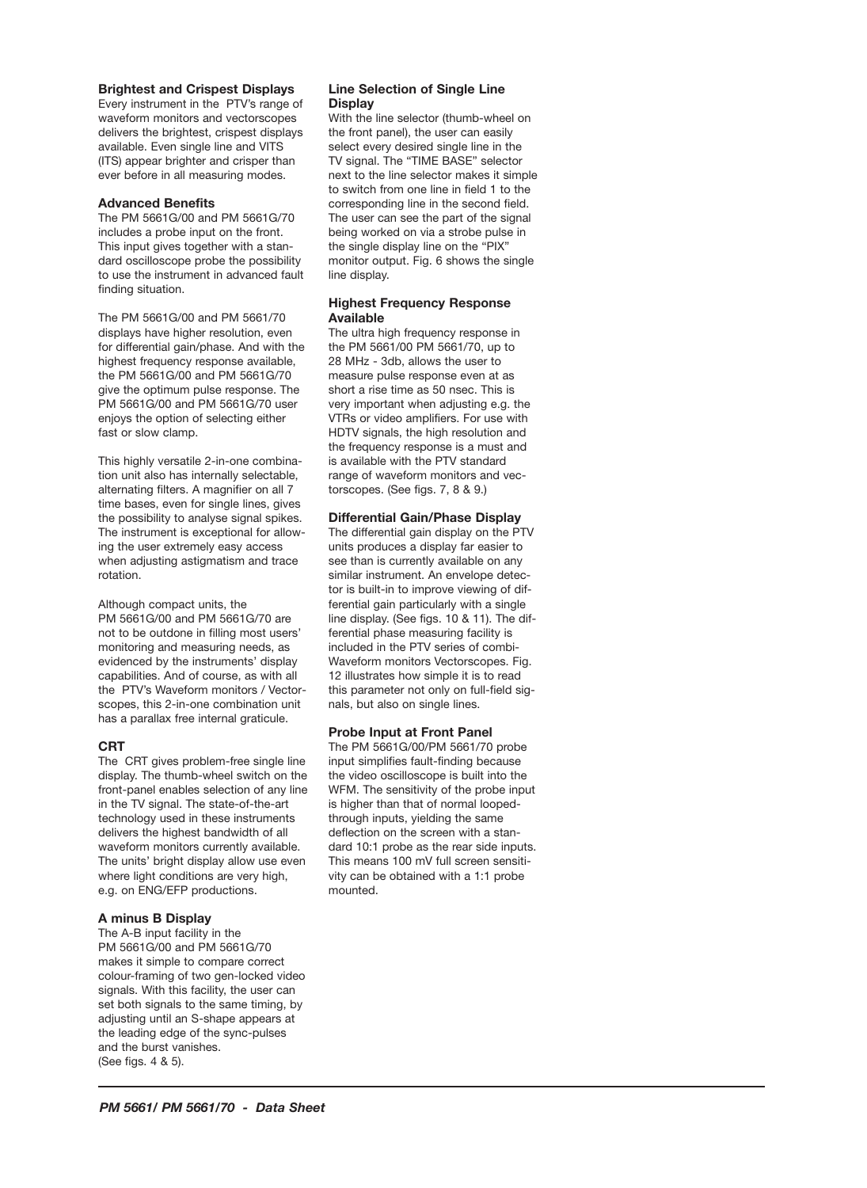#### **Brightest and Crispest Displays**

Every instrument in the PTV's range of waveform monitors and vectorscopes delivers the brightest, crispest displays available. Even single line and VITS (ITS) appear brighter and crisper than ever before in all measuring modes.

#### **Advanced Benefits**

The PM 5661G/00 and PM 5661G/70 includes a probe input on the front. This input gives together with a standard oscilloscope probe the possibility to use the instrument in advanced fault finding situation.

The PM 5661G/00 and PM 5661/70 displays have higher resolution, even for differential gain/phase. And with the highest frequency response available, the PM 5661G/00 and PM 5661G/70 give the optimum pulse response. The PM 5661G/00 and PM 5661G/70 user enjoys the option of selecting either fast or slow clamp.

This highly versatile 2-in-one combination unit also has internally selectable, alternating filters. A magnifier on all 7 time bases, even for single lines, gives the possibility to analyse signal spikes. The instrument is exceptional for allowing the user extremely easy access when adjusting astigmatism and trace rotation.

Although compact units, the PM 5661G/00 and PM 5661G/70 are not to be outdone in filling most users' monitoring and measuring needs, as evidenced by the instruments' display capabilities. And of course, as with all the PTV's Waveform monitors / Vectorscopes, this 2-in-one combination unit has a parallax free internal graticule.

#### **CRT**

The CRT gives problem-free single line display. The thumb-wheel switch on the front-panel enables selection of any line in the TV signal. The state-of-the-art technology used in these instruments delivers the highest bandwidth of all waveform monitors currently available. The units' bright display allow use even where light conditions are very high, e.g. on ENG/EFP productions.

#### **A minus B Display**

The A-B input facility in the PM 5661G/00 and PM 5661G/70 makes it simple to compare correct colour-framing of two gen-locked video signals. With this facility, the user can set both signals to the same timing, by adjusting until an S-shape appears at the leading edge of the sync-pulses and the burst vanishes. (See figs. 4 & 5).

#### **Line Selection of Single Line Display**

With the line selector (thumb-wheel on the front panel), the user can easily select every desired single line in the TV signal. The "TIME BASE" selector next to the line selector makes it simple to switch from one line in field 1 to the corresponding line in the second field. The user can see the part of the signal being worked on via a strobe pulse in the single display line on the "PIX" monitor output. Fig. 6 shows the single line display.

#### **Highest Frequency Response Available**

The ultra high frequency response in the PM 5661/00 PM 5661/70, up to 28 MHz - 3db, allows the user to measure pulse response even at as short a rise time as 50 nsec. This is very important when adjusting e.g. the VTRs or video amplifiers. For use with HDTV signals, the high resolution and the frequency response is a must and is available with the PTV standard range of waveform monitors and vectorscopes. (See figs. 7, 8 & 9.)

#### **Differential Gain/Phase Display**

The differential gain display on the PTV units produces a display far easier to see than is currently available on any similar instrument. An envelope detector is built-in to improve viewing of differential gain particularly with a single line display. (See figs. 10 & 11). The differential phase measuring facility is included in the PTV series of combi-Waveform monitors Vectorscopes. Fig. 12 illustrates how simple it is to read this parameter not only on full-field signals, but also on single lines.

#### **Probe Input at Front Panel**

The PM 5661G/00/PM 5661/70 probe input simplifies fault-finding because the video oscilloscope is built into the WFM. The sensitivity of the probe input is higher than that of normal loopedthrough inputs, yielding the same deflection on the screen with a standard 10:1 probe as the rear side inputs. This means 100 mV full screen sensitivity can be obtained with a 1:1 probe mounted.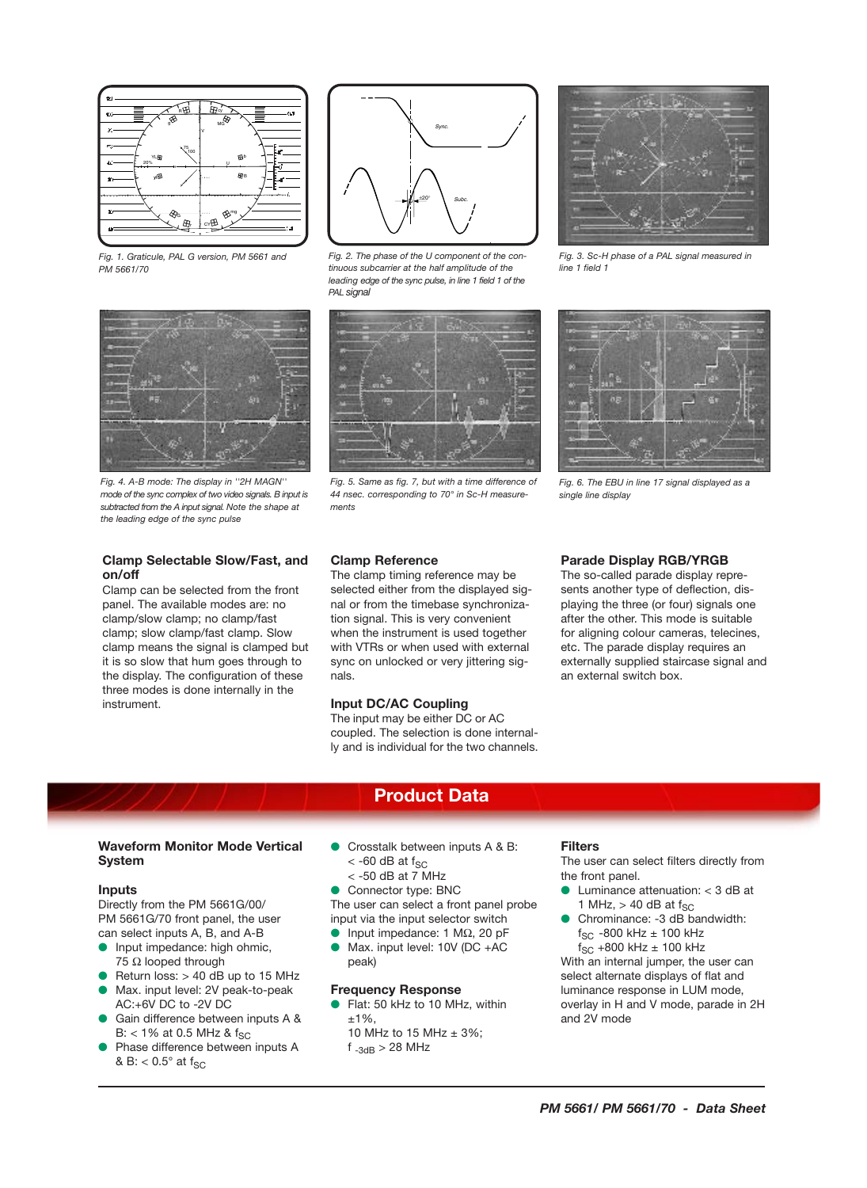

*Fig. 1. Graticule, PAL G version, PM 5661 and PM 5661/70*



*Fig. 2. The phase of the U component of the continuous subcarrier at the half amplitude of the leading edge of the sync pulse, in line 1 field 1 of the PAL signal*



*Fig. 5. Same as fig. 7, but with a time difference of 44 nsec. corresponding to 70° in Sc-H measurements*



*Fig. 3. Sc-H phase of a PAL signal measured in line 1 field 1*



*Fig. 6. The EBU in line 17 signal displayed as a single line display*

#### **Clamp Reference**

The clamp timing reference may be selected either from the displayed signal or from the timebase synchronization signal. This is very convenient when the instrument is used together with VTRs or when used with external sync on unlocked or very jittering signals.

#### **Input DC/AC Coupling**

The input may be either DC or AC coupled. The selection is done internally and is individual for the two channels.

#### **Parade Display RGB/YRGB**

The so-called parade display represents another type of deflection, displaying the three (or four) signals one after the other. This mode is suitable for aligning colour cameras, telecines, etc. The parade display requires an externally supplied staircase signal and an external switch box.

# **Product Data**

#### **Waveform Monitor Mode Vertical System**

#### **Inputs**

Directly from the PM 5661G/00/ PM 5661G/70 front panel, the user can select inputs A, B, and A-B

- Input impedance: high ohmic, 75 Ω looped through
- Return loss:  $> 40$  dB up to 15 MHz
- Max. input level: 2V peak-to-peak AC:+6V DC to -2V DC
- Gain difference between inputs A &  $B: < 1\%$  at 0.5 MHz & f<sub>SC</sub>
- Phase difference between inputs A & B:  $< 0.5^\circ$  at  $f_{SC}$
- Crosstalk between inputs A & B:  $<$  -60 dB at f<sub>SC</sub>
	- $<$  -50 dB at 7 MHz

● Connector type: BNC The user can select a front panel probe input via the input selector switch

- Input impedance: 1 MΩ, 20 pF
- Max. input level: 10V (DC +AC peak)

#### **Frequency Response**

- Flat: 50 kHz to 10 MHz, within  $±1\%$ . 10 MHz to 15 MHz  $\pm$  3%;
	- $f_{-3dB}$  > 28 MHz

#### **Filters**

The user can select filters directly from the front panel.

- Luminance attenuation: < 3 dB at 1 MHz,  $> 40$  dB at f<sub>SC</sub>
- Chrominance: -3 dB bandwidth:  $f_{SC}$  -800 kHz  $\pm$  100 kHz  $f_{SC}$  +800 kHz  $\pm$  100 kHz

With an internal jumper, the user can select alternate displays of flat and luminance response in LUM mode, overlay in H and V mode, parade in 2H and 2V mode





# **Clamp Selectable Slow/Fast, and on/off**

Clamp can be selected from the front panel. The available modes are: no clamp/slow clamp; no clamp/fast clamp; slow clamp/fast clamp. Slow clamp means the signal is clamped but it is so slow that hum goes through to the display. The configuration of these three modes is done internally in the instrument.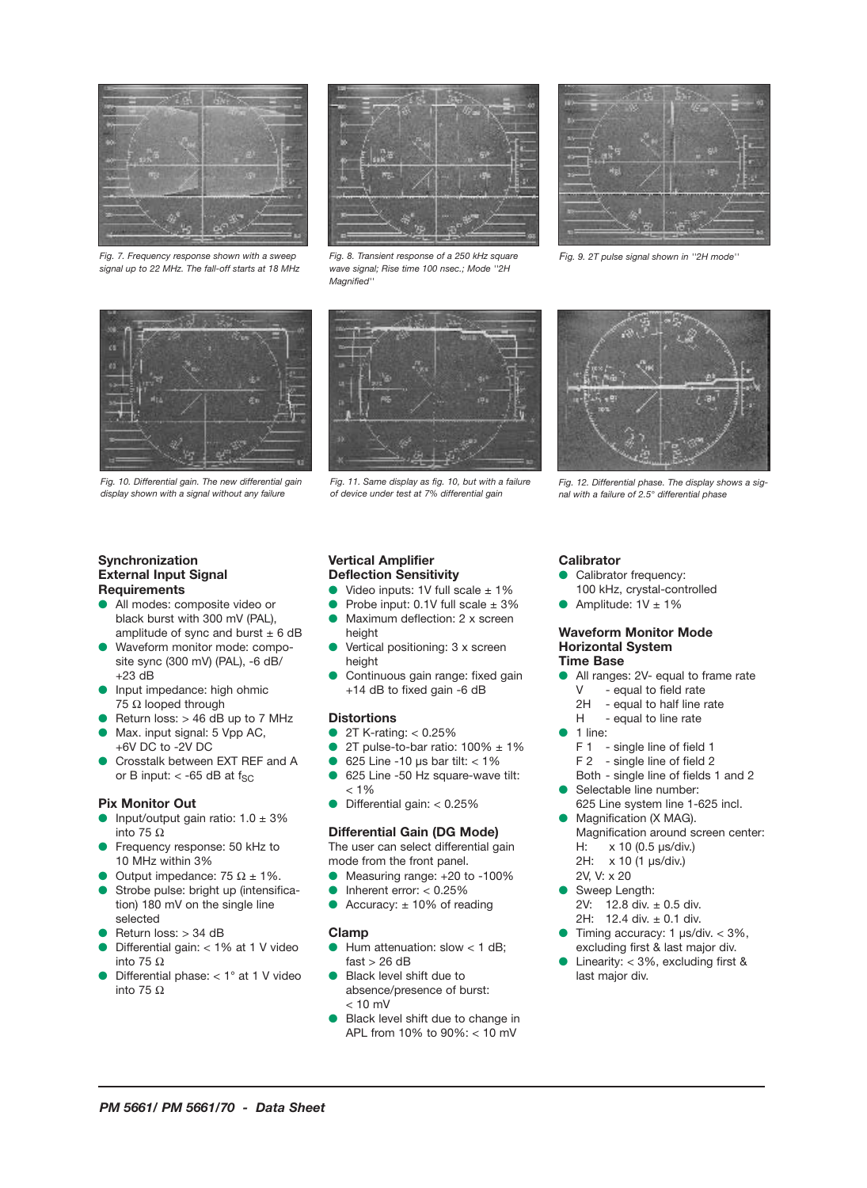

*Fig. 7. Frequency response shown with a sweep signal up to 22 MHz. The fall-off starts at 18 MHz*



*Fig. 8. Transient response of a 250 kHz square wave signal; Rise time 100 nsec.; Mode ''2H Magnified''*



*Fig. 9. 2T pulse signal shown in ''2H mode''*



*Fig. 10. Differential gain. The new differential gain display shown with a signal without any failure* 

#### **Synchronization External Input Signal Requirements**

- All modes: composite video or black burst with 300 mV (PAL), amplitude of sync and burst  $\pm$  6 dB
- Waveform monitor mode: composite sync (300 mV) (PAL), -6 dB/ +23 dB
- Input impedance: high ohmic 75 Ω looped through
- Return loss:  $> 46$  dB up to 7 MHz
- Max. input signal: 5 Vpp AC, +6V DC to -2V DC
- Crosstalk between EXT REF and A or B input:  $<$  -65 dB at f<sub>SC</sub>

## **Pix Monitor Out**

- Input/output gain ratio:  $1.0 \pm 3\%$ into 75 Ω
- Frequency response: 50 kHz to 10 MHz within 3%
- Output impedance: 75  $\Omega$  ± 1%.
- Strobe pulse: bright up (intensification) 180 mV on the single line selected
- Return loss: > 34 dB
- Differential gain: < 1% at 1 V video into 75 Ω
- Differential phase:  $< 1^\circ$  at 1 V video into 75 Ω



*Fig. 11. Same display as fig. 10, but with a failure of device under test at 7% differential gain*



*Fig. 12. Differential phase. The display shows a signal with a failure of 2.5° differential phase*

#### **Vertical Amplifier Deflection Sensitivity**

- Video inputs: 1V full scale  $\pm$  1%
- Probe input:  $0.1V$  full scale  $\pm 3\%$
- Maximum deflection: 2 x screen height
- Vertical positioning: 3 x screen height
- Continuous gain range: fixed gain +14 dB to fixed gain -6 dB

#### **Distortions**

- 2T K-rating: < 0.25%
- 2T pulse-to-bar ratio:  $100\%$  ± 1%
- 625 Line -10  $\mu$ s bar tilt: < 1%
- 625 Line -50 Hz square-wave tilt:  $< 1\%$
- Differential gain: < 0.25%

#### **Differential Gain (DG Mode)**

The user can select differential gain mode from the front panel.

- Measuring range: +20 to -100%
- Inherent error: < 0.25%
- Accuracy:  $\pm$  10% of reading

#### **Clamp**

- Hum attenuation: slow  $<$  1 dB;  $fast > 26 dB$
- Black level shift due to absence/presence of burst:  $< 10$  mV
- Black level shift due to change in APL from 10% to 90%: < 10 mV

## **Calibrator**

- Calibrator frequency:
- 100 kHz, crystal-controlled
- Amplitude:  $1V \pm 1%$

#### **Waveform Monitor Mode Horizontal System Time Base**

- All ranges: 2V- equal to frame rate<br>V equal to field rate - equal to field rate
	- 2H equal to half line rate
	- H equal to line rate
- 1 line:
	- F 1 single line of field 1
	- F 2 single line of field 2
- Both single line of fields 1 and 2
- Selectable line number:
- 625 Line system line 1-625 incl. Magnification (X MAG).
- Magnification around screen center: H: x 10 (0.5 µs/div.) 2H: x 10 (1 µs/div.)
- 2V, V: x 20
- Sweep Length: 2V: 12.8 div. ± 0.5 div. 2H: 12.4 div. ± 0.1 div.
- $\bullet$  Timing accuracy: 1 µs/div. < 3%, excluding first & last major div.
- Linearity:  $<$  3%, excluding first & last major div.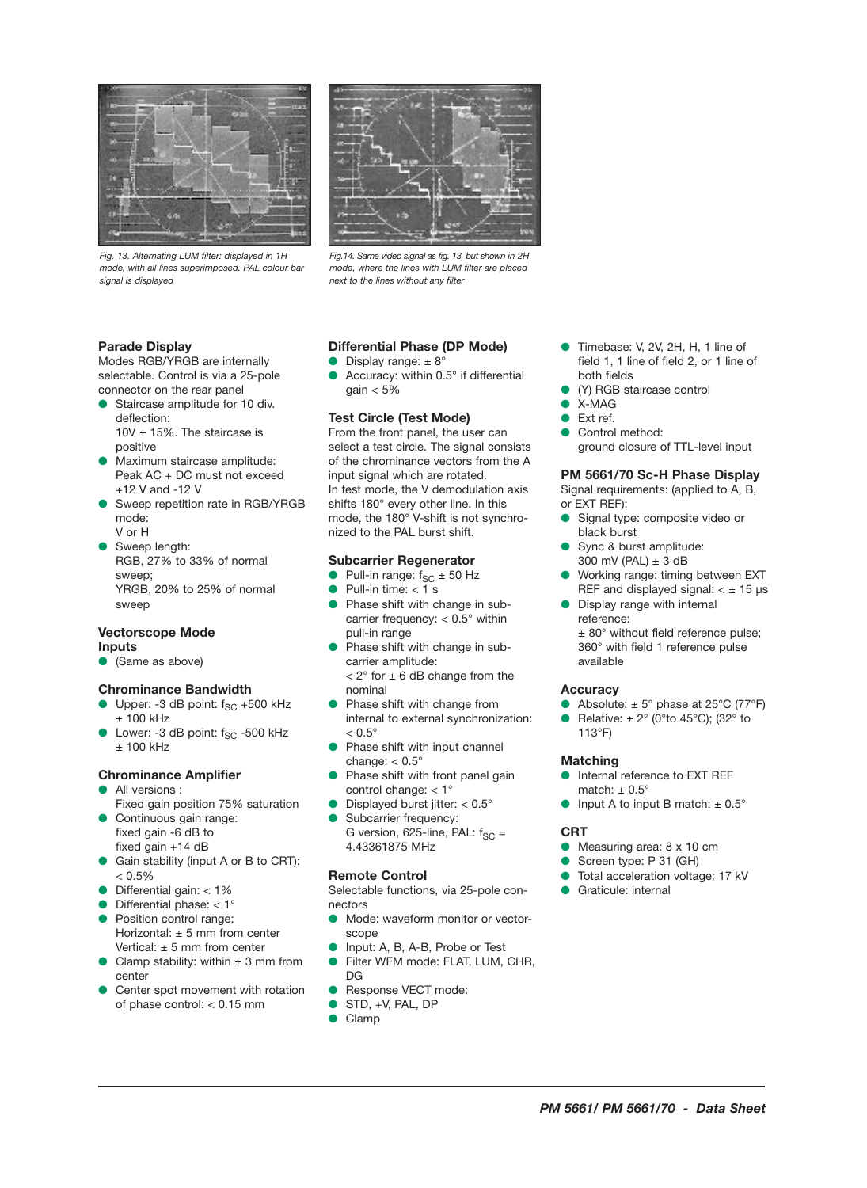

*Fig. 13. Alternating LUM filter: displayed in 1H mode, with all lines superimposed. PAL colour bar signal is displayed*



*Fig.14. Same video signal as fig. 13, but shown in 2H mode, where the lines with LUM filter are placed next to the lines without any filter*

## **Parade Display**

Modes RGB/YRGB are internally selectable. Control is via a 25-pole connector on the rear panel

- Staircase amplitude for 10 div. deflection:  $10V \pm 15\%$ . The staircase is positive
- Maximum staircase amplitude: Peak AC + DC must not exceed +12 V and -12 V
- Sweep repetition rate in RGB/YRGB mode: V or H
- Sweep length: RGB, 27% to 33% of normal sweep; YRGB, 20% to 25% of normal sweep

#### **Vectorscope Mode Inputs**

● (Same as above)

#### **Chrominance Bandwidth**

- $\bullet$  Upper: -3 dB point:  $f_{SC}$  +500 kHz ± 100 kHz
- Lower: -3 dB point:  $f_{SC}$  -500 kHz ± 100 kHz

#### **Chrominance Amplifier**

- All versions :
- Fixed gain position 75% saturation Continuous gain range:
- fixed gain -6 dB to fixed gain +14 dB Gain stability (input A or B to CRT):
- $< 0.5\%$ Differential gain:  $<$  1%
- Differential phase:  $< 1^{\circ}$
- Position control range: Horizontal:  $\pm$  5 mm from center Vertical:  $\pm$  5 mm from center
- Clamp stability: within  $\pm$  3 mm from center
- Center spot movement with rotation of phase control: < 0.15 mm

# **Differential Phase (DP Mode)**

Display range:  $\pm 8^{\circ}$ 

Accuracy: within 0.5° if differential gain  $< 5\%$ 

# **Test Circle (Test Mode)**

From the front panel, the user can select a test circle. The signal consists of the chrominance vectors from the A input signal which are rotated. In test mode, the V demodulation axis shifts 180° every other line. In this mode, the 180° V-shift is not synchronized to the PAL burst shift.

## **Subcarrier Regenerator**

- Pull-in range:  $f_{SC} \pm 50$  Hz
- Pull-in time:  $<$  1 s
- Phase shift with change in subcarrier frequency: < 0.5° within pull-in range
- Phase shift with change in subcarrier amplitude:  $< 2^{\circ}$  for  $\pm$  6 dB change from the nominal
- Phase shift with change from internal to external synchronization:  $< 0.5^\circ$
- Phase shift with input channel change:  $< 0.5^{\circ}$
- Phase shift with front panel gain control change: < 1°
- Displayed burst jitter:  $< 0.5^{\circ}$
- Subcarrier frequency: G version, 625-line, PAL:  $f_{SC}$  = 4.43361875 MHz

# **Remote Control**

Selectable functions, via 25-pole connectors

- Mode: waveform monitor or vectorscope
- Input: A, B, A-B, Probe or Test
- Filter WFM mode: FLAT, LUM, CHR,  $DG$
- Response VECT mode:
- STD, +V, PAL, DP
- Clamp
- Timebase: V, 2V, 2H, H, 1 line of field 1, 1 line of field 2, or 1 line of both fields
- (Y) RGB staircase control
- X-MAG
- $Fyt$  ref.
- Control method: ground closure of TTL-level input

## **PM 5661/70 Sc-H Phase Display**

Signal requirements: (applied to A, B, or EXT REF):

- Signal type: composite video or black burst
- Sync & burst amplitude: 300 mV (PAL)  $\pm$  3 dB
- Working range: timing between EXT REF and displayed signal:  $< \pm 15 \text{ }\mu\text{s}$
- Display range with internal reference: ± 80° without field reference pulse; 360° with field 1 reference pulse available

# **Accuracy**

- Absolute:  $\pm$  5° phase at 25°C (77°F)
- Relative:  $\pm 2^{\circ}$  (0°to 45°C); (32° to 113°F)

# **Matching**

- Internal reference to EXT REF match:  $+0.5^\circ$
- Input A to input B match:  $\pm$  0.5°

# **CRT**

- Measuring area: 8 x 10 cm
- Screen type: P 31 (GH)
- Total acceleration voltage: 17 kV
- Graticule: internal